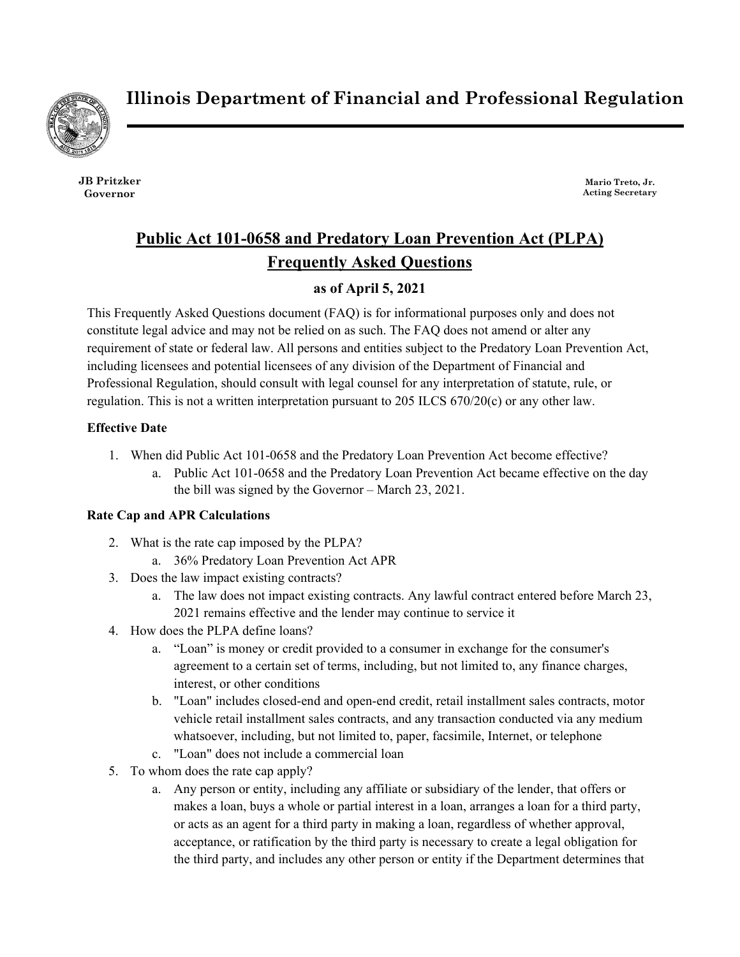

**Illinois Department of Financial and Professional Regulation**

**JB Pritzker Governor**

**Mario Treto, Jr. Acting Secretary**

# **Public Act 101-0658 and Predatory Loan Prevention Act (PLPA) Frequently Asked Questions**

# **as of April 5, 2021**

This Frequently Asked Questions document (FAQ) is for informational purposes only and does not constitute legal advice and may not be relied on as such. The FAQ does not amend or alter any requirement of state or federal law. All persons and entities subject to the Predatory Loan Prevention Act, including licensees and potential licensees of any division of the Department of Financial and Professional Regulation, should consult with legal counsel for any interpretation of statute, rule, or regulation. This is not a written interpretation pursuant to  $205$  ILCS  $670/20(c)$  or any other law.

# **Effective Date**

- 1. When did Public Act 101-0658 and the Predatory Loan Prevention Act become effective?
	- a. Public Act 101-0658 and the Predatory Loan Prevention Act became effective on the day the bill was signed by the Governor – March 23, 2021.

# **Rate Cap and APR Calculations**

- 2. What is the rate cap imposed by the PLPA?
	- a. 36% Predatory Loan Prevention Act APR
- 3. Does the law impact existing contracts?
	- a. The law does not impact existing contracts. Any lawful contract entered before March 23, 2021 remains effective and the lender may continue to service it
- 4. How does the PLPA define loans?
	- a. "Loan" is money or credit provided to a consumer in exchange for the consumer's agreement to a certain set of terms, including, but not limited to, any finance charges, interest, or other conditions
	- b. "Loan" includes closed-end and open-end credit, retail installment sales contracts, motor vehicle retail installment sales contracts, and any transaction conducted via any medium whatsoever, including, but not limited to, paper, facsimile, Internet, or telephone
	- c. "Loan" does not include a commercial loan
- 5. To whom does the rate cap apply?
	- a. Any person or entity, including any affiliate or subsidiary of the lender, that offers or makes a loan, buys a whole or partial interest in a loan, arranges a loan for a third party, or acts as an agent for a third party in making a loan, regardless of whether approval, acceptance, or ratification by the third party is necessary to create a legal obligation for the third party, and includes any other person or entity if the Department determines that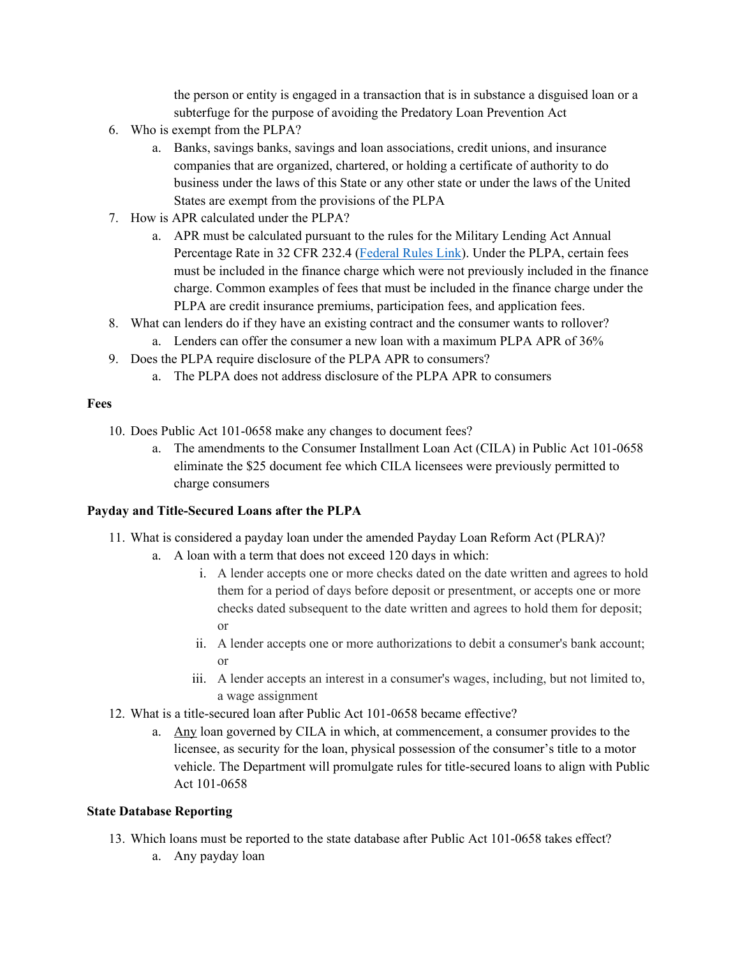the person or entity is engaged in a transaction that is in substance a disguised loan or a subterfuge for the purpose of avoiding the Predatory Loan Prevention Act

- 6. Who is exempt from the PLPA?
	- a. Banks, savings banks, savings and loan associations, credit unions, and insurance companies that are organized, chartered, or holding a certificate of authority to do business under the laws of this State or any other state or under the laws of the United States are exempt from the provisions of the PLPA
- 7. How is APR calculated under the PLPA?
	- a. APR must be calculated pursuant to the rules for the Military Lending Act Annual Percentage Rate in 32 CFR 232.4 [\(Federal Rules Link\)](https://ecfr.federalregister.gov/current/title-32/subtitle-A/chapter-I/subchapter-M/part-232/section-232.4). Under the PLPA, certain fees must be included in the finance charge which were not previously included in the finance charge. Common examples of fees that must be included in the finance charge under the PLPA are credit insurance premiums, participation fees, and application fees.
- 8. What can lenders do if they have an existing contract and the consumer wants to rollover?
	- a. Lenders can offer the consumer a new loan with a maximum PLPA APR of 36%
- 9. Does the PLPA require disclosure of the PLPA APR to consumers?
	- a. The PLPA does not address disclosure of the PLPA APR to consumers

#### **Fees**

- 10. Does Public Act 101-0658 make any changes to document fees?
	- a. The amendments to the Consumer Installment Loan Act (CILA) in Public Act 101-0658 eliminate the \$25 document fee which CILA licensees were previously permitted to charge consumers

#### **Payday and Title-Secured Loans after the PLPA**

- 11. What is considered a payday loan under the amended Payday Loan Reform Act (PLRA)?
	- a. A loan with a term that does not exceed 120 days in which:
		- i. A lender accepts one or more checks dated on the date written and agrees to hold them for a period of days before deposit or presentment, or accepts one or more checks dated subsequent to the date written and agrees to hold them for deposit; or
		- ii. A lender accepts one or more authorizations to debit a consumer's bank account; or
		- iii. A lender accepts an interest in a consumer's wages, including, but not limited to, a wage assignment
- 12. What is a title-secured loan after Public Act 101-0658 became effective?
	- a. Any loan governed by CILA in which, at commencement, a consumer provides to the licensee, as security for the loan, physical possession of the consumer's title to a motor vehicle. The Department will promulgate rules for title-secured loans to align with Public Act 101-0658

#### **State Database Reporting**

- 13. Which loans must be reported to the state database after Public Act 101-0658 takes effect?
	- a. Any payday loan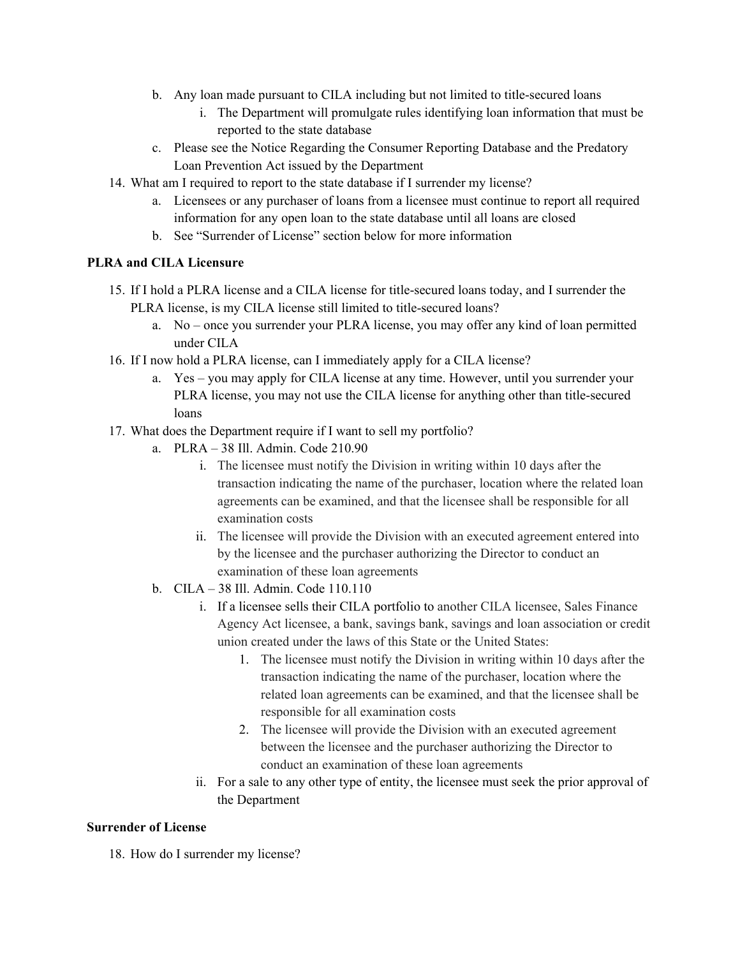- b. Any loan made pursuant to CILA including but not limited to title-secured loans
	- i. The Department will promulgate rules identifying loan information that must be reported to the state database
- c. Please see the Notice Regarding the Consumer Reporting Database and the Predatory Loan Prevention Act issued by the Department
- 14. What am I required to report to the state database if I surrender my license?
	- a. Licensees or any purchaser of loans from a licensee must continue to report all required information for any open loan to the state database until all loans are closed
	- b. See "Surrender of License" section below for more information

### **PLRA and CILA Licensure**

- 15. If I hold a PLRA license and a CILA license for title-secured loans today, and I surrender the PLRA license, is my CILA license still limited to title-secured loans?
	- a. No once you surrender your PLRA license, you may offer any kind of loan permitted under CILA
- 16. If I now hold a PLRA license, can I immediately apply for a CILA license?
	- a. Yes you may apply for CILA license at any time. However, until you surrender your PLRA license, you may not use the CILA license for anything other than title-secured loans
- 17. What does the Department require if I want to sell my portfolio?
	- a. PLRA 38 Ill. Admin. Code 210.90
		- i. The licensee must notify the Division in writing within 10 days after the transaction indicating the name of the purchaser, location where the related loan agreements can be examined, and that the licensee shall be responsible for all examination costs
		- ii. The licensee will provide the Division with an executed agreement entered into by the licensee and the purchaser authorizing the Director to conduct an examination of these loan agreements
	- b. CILA 38 Ill. Admin. Code 110.110
		- i. If a licensee sells their CILA portfolio to another CILA licensee, Sales Finance Agency Act licensee, a bank, savings bank, savings and loan association or credit union created under the laws of this State or the United States:
			- 1. The licensee must notify the Division in writing within 10 days after the transaction indicating the name of the purchaser, location where the related loan agreements can be examined, and that the licensee shall be responsible for all examination costs
			- 2. The licensee will provide the Division with an executed agreement between the licensee and the purchaser authorizing the Director to conduct an examination of these loan agreements
		- ii. For a sale to any other type of entity, the licensee must seek the prior approval of the Department

# **Surrender of License**

18. How do I surrender my license?